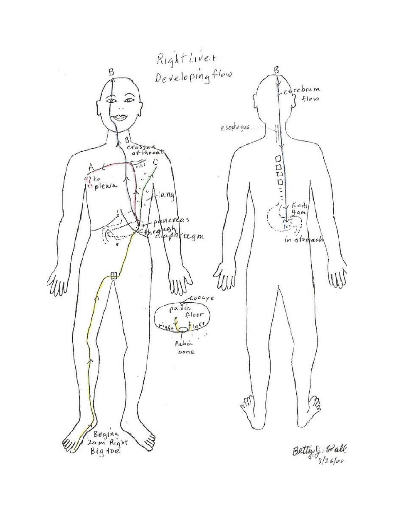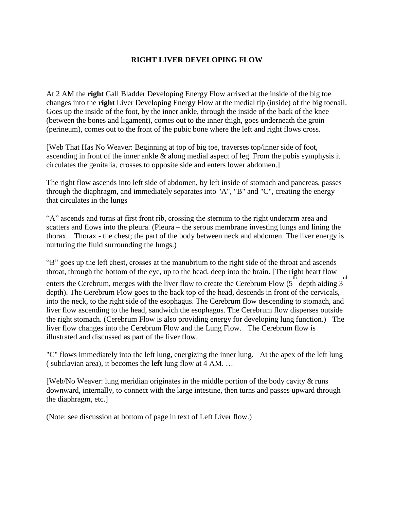## **RIGHT LIVER DEVELOPING FLOW**

At 2 AM the **right** Gall Bladder Developing Energy Flow arrived at the inside of the big toe changes into the **right** Liver Developing Energy Flow at the medial tip (inside) of the big toenail. Goes up the inside of the foot, by the inner ankle, through the inside of the back of the knee (between the bones and ligament), comes out to the inner thigh, goes underneath the groin (perineum), comes out to the front of the pubic bone where the left and right flows cross.

[Web That Has No Weaver: Beginning at top of big toe, traverses top/inner side of foot, ascending in front of the inner ankle & along medial aspect of leg. From the pubis symphysis it circulates the genitalia, crosses to opposite side and enters lower abdomen.]

The right flow ascends into left side of abdomen, by left inside of stomach and pancreas, passes through the diaphragm, and immediately separates into "A", "B" and "C", creating the energy that circulates in the lungs

"A" ascends and turns at first front rib, crossing the sternum to the right underarm area and scatters and flows into the pleura. (Pleura – the serous membrane investing lungs and lining the thorax. Thorax - the chest; the part of the body between neck and abdomen. The liver energy is nurturing the fluid surrounding the lungs.)

"B" goes up the left chest, crosses at the manubrium to the right side of the throat and ascends throat, through the bottom of the eye, up to the head, deep into the brain. [The right heart flow enters the Cerebrum, merges with the liver flow to create the Cerebrum Flow  $(5 \text{ depth } \text{aiding } 3)$ rd depth). The Cerebrum Flow goes to the back top of the head, descends in front of the cervicals, into the neck, to the right side of the esophagus. The Cerebrum flow descending to stomach, and liver flow ascending to the head, sandwich the esophagus. The Cerebrum flow disperses outside the right stomach. (Cerebrum Flow is also providing energy for developing lung function.) The liver flow changes into the Cerebrum Flow and the Lung Flow. The Cerebrum flow is illustrated and discussed as part of the liver flow.

"C" flows immediately into the left lung, energizing the inner lung. At the apex of the left lung ( subclavian area), it becomes the **left** lung flow at 4 AM. …

[Web/No Weaver: lung meridian originates in the middle portion of the body cavity & runs downward, internally, to connect with the large intestine, then turns and passes upward through the diaphragm, etc.]

(Note: see discussion at bottom of page in text of Left Liver flow.)